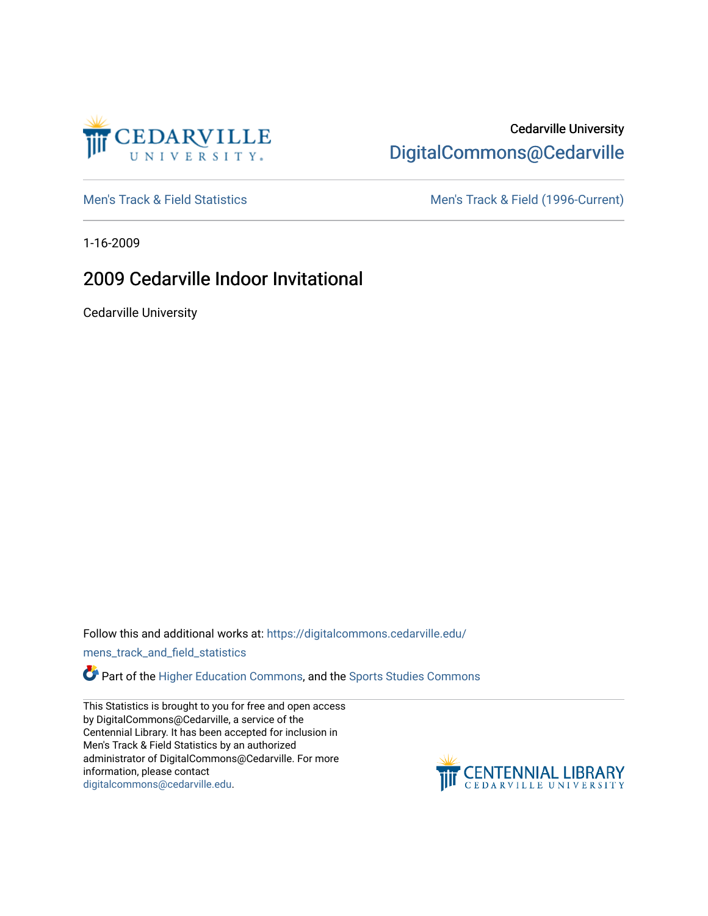

# Cedarville University [DigitalCommons@Cedarville](https://digitalcommons.cedarville.edu/)

[Men's Track & Field Statistics](https://digitalcommons.cedarville.edu/mens_track_and_field_statistics) [Men's Track & Field \(1996-Current\)](https://digitalcommons.cedarville.edu/mens_track_and_field) 

1-16-2009

# 2009 Cedarville Indoor Invitational

Cedarville University

Follow this and additional works at: [https://digitalcommons.cedarville.edu/](https://digitalcommons.cedarville.edu/mens_track_and_field_statistics?utm_source=digitalcommons.cedarville.edu%2Fmens_track_and_field_statistics%2F223&utm_medium=PDF&utm_campaign=PDFCoverPages)

[mens\\_track\\_and\\_field\\_statistics](https://digitalcommons.cedarville.edu/mens_track_and_field_statistics?utm_source=digitalcommons.cedarville.edu%2Fmens_track_and_field_statistics%2F223&utm_medium=PDF&utm_campaign=PDFCoverPages)

**Part of the [Higher Education Commons,](http://network.bepress.com/hgg/discipline/1245?utm_source=digitalcommons.cedarville.edu%2Fmens_track_and_field_statistics%2F223&utm_medium=PDF&utm_campaign=PDFCoverPages) and the Sports Studies Commons** 

This Statistics is brought to you for free and open access by DigitalCommons@Cedarville, a service of the Centennial Library. It has been accepted for inclusion in Men's Track & Field Statistics by an authorized administrator of DigitalCommons@Cedarville. For more information, please contact [digitalcommons@cedarville.edu](mailto:digitalcommons@cedarville.edu).

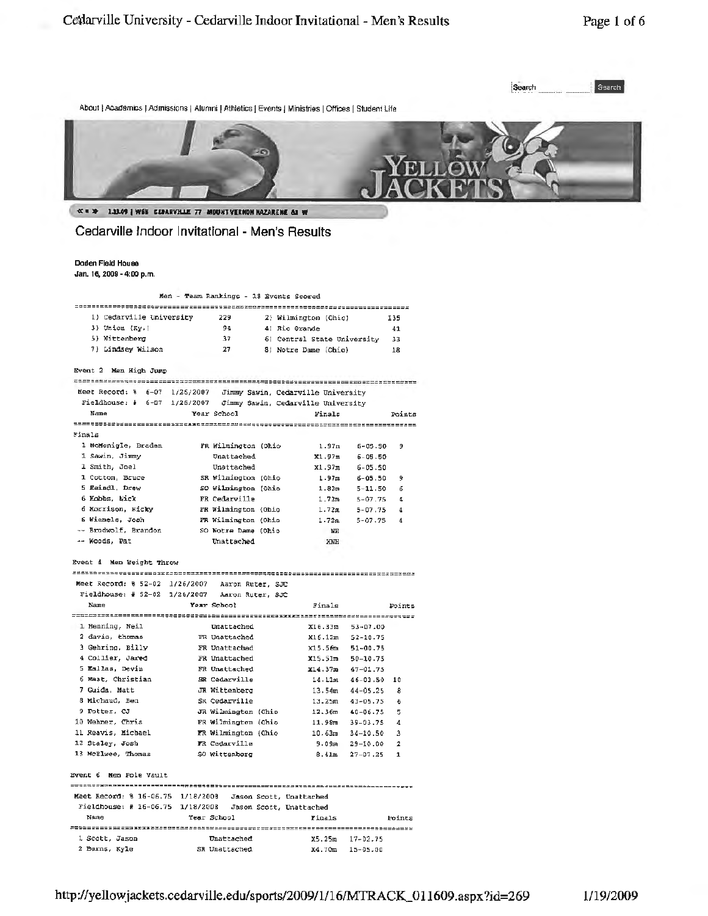

About | Academics | Admissions | Alumni | Athletics | Events | Ministries | Offices | Student Life



Foints

« \* \* 1.1109 | WEB CEBARVHLE 77 MIDUNT VERNON NAZARENE &1 W

## Cedarville Indoor Invitational - Men's Results

Doden Field House Jan. 16, 2009 - 4:00 p.m.

Men - Team Rankings - 18 Events Scored

| 1) Cedarville University | 229 | 2) Wilmington (Ohio)        | 135 |
|--------------------------|-----|-----------------------------|-----|
| 3) Union (Ky.)           | 94  | 41 Rio Grande               | 41  |
| 5) Wittenberg            | 37  | 6) Central State University | 33  |
| 7) Lindsey Wilson        | 27  | 8) Notre Dame (Ohio)        | 18  |

Event 2 Men High Jump

Meet Record: 8 6-07 1/26/2007 Jimmy Sawin, Cedarville University

|        | Fieldhouse: # 6-07 1/26/2007 |                     | Jimmy Sawin, Cedarville University |             |        |
|--------|------------------------------|---------------------|------------------------------------|-------------|--------|
|        | Name                         | Year School         | Finals                             |             | Points |
|        |                              |                     |                                    |             |        |
| Finals |                              |                     |                                    |             |        |
|        | 1 McMonigle, Braden          | FR Wilmington (Ohio | 1.97m                              | $6 - 05.50$ | 9      |
|        | 1 Sawin, Jimmy               | Unattached          | X1.97m                             | $6 - 05.50$ |        |
|        | 1 Smith, Joel                | Unattached          | x1.97m                             | $6 - 05.50$ |        |
|        | 1 Cotton, Bruce              | SR Wilmington (Ohio | 1.97m                              | $6 - 05.50$ | ۰      |
|        | 5 Eeindl, Drew               | SO Wilmington (Ohio | 1.82m                              | $5 - 11.50$ | ñ      |
|        | 6 Mobbs, Nick                | FR Cedarville       | 1.72m                              | $5 - 07.75$ | 4      |
|        | 6 Morrison, Ricky            | FR Wilmington (Ohio | 1.72m                              | $5 - 07.75$ | 4      |
|        | 6 Wiemels, Josh              | FR Wilmington (Ohio | 1.72m                              | $5 - 07.75$ | 4      |
|        | -- Brodwolf, Brandon         | SO Notre Dame (Ohio | MН                                 |             |        |
|        | -- Woods, Pat                | Unattached          | XNH                                |             |        |
|        |                              |                     |                                    |             |        |

Event 4 Nen Weight Throw

2 Burns, Kyle

|  | Moot Coenri: $\theta$ 52.02.1126/2002. Noron Duram, CID |  |
|--|---------------------------------------------------------|--|

Meet Record:  $852-02$  1/26/2007 Aaron Ruter, SJC<br>Fieldhouse: # 52-02 1/26/2007 Aaron Ruter, SJC Name Year School  $\texttt{Finals}$ 1 Henning, Neil Unattached X16.33m 53-07.00 2 davis, thomas TR Unattached<br>3 Gehring, Billy TR Unattached X16.12m 52-10.75 x15.56m 51-00.75

| 4 Collier, Jared       | FR Unattached                                              | X15.51m            | 50-10.75                     |
|------------------------|------------------------------------------------------------|--------------------|------------------------------|
| 5 Kallas, Devin        | FR Unattached                                              | x14.37m            | $47 - 01.75$                 |
| 6 Maat, Christian      | SR Cedarville                                              | 14.11m             | $46 - 03.50$<br>10           |
| 7 Guida, Matt          | JR Wittenberg                                              | 13.54m             | $44 - 05.25$<br>8            |
| 8 Michaud. Ben         | SR Cedarville                                              | 13.25m             | $43 - 05.75$<br>6            |
| 9 Potter, CJ           | JR Wilmington (Ohio                                        | 12.36 <sub>m</sub> | 5<br>40-06.75                |
| 10 Wehner, Chris       | FR Wilmington (Ohio                                        | 11.98 <sub>m</sub> | 4<br>39-03.75                |
| 11 Reavis, Michael     | FR Wilmington (Ohio                                        | 10.63m             | $\mathbf{3}$<br>$34 - 10.50$ |
| 12 Staley, Josh        | FR Cedarville                                              | 9.09m              | 29-10.00<br>$\mathbf{2}$     |
| 13 McElwee, Thomas     | SO Wittenberg                                              | 8.41m              | $27 - D7.25$<br>1            |
| Event 6 Men Pole Vault |                                                            |                    |                              |
|                        | Meet Record: \$ 16-06.75 1/18/2008 Jason Scott, Unattached |                    |                              |
|                        | Fieldhouse: # 16-06.75 1/18/2008 Jason Scott, Unattached   |                    |                              |
| Name                   | Year School                                                | Finals             | Foints                       |
|                        |                                                            |                    |                              |
| 1 Scott, Jason         | Unattached                                                 | X5.25m             | $17 - 02.75$                 |

SR Unattached

x4.70m 15-05.00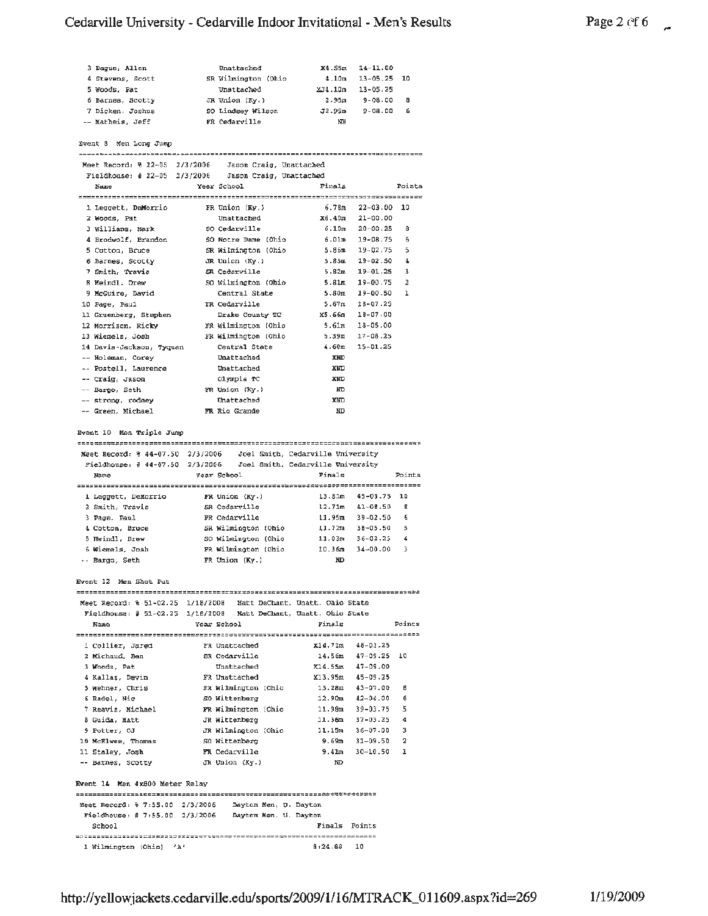# Cedarville University - Cedarville Indoor Invitational - Men's Results

| Page 2 $c$ f 6 |  |
|----------------|--|
|                |  |

| 3 Dague, Allen   | Unatkached          | X4.55m | $14 - 11.00$      |     |
|------------------|---------------------|--------|-------------------|-----|
| 4 Stevens, Scott | SR Wilmington (Ohio | 4.10m  | $13 - 05 - 25$ 10 |     |
| 5 Woods, Pat     | Unattached          | 2.10m  | 13-05.25          |     |
| 6 Barnes, Scotty | JR Union (Ky.)      | 2.95m  | $9 - 08 - 00$     | - 8 |
| 7 Dicken, Joshua | SO Lindsey Wilson   | J2.95m | $9 - 08.00$       | -6  |
| -- Matheis, Jeff | FR Cedarville       | NH     |                   |     |

Event 8 Men Long Jump

| RACTIF O MOIT RAIN ANNA                               |                         |                   |                      |                |  |
|-------------------------------------------------------|-------------------------|-------------------|----------------------|----------------|--|
|                                                       |                         |                   |                      |                |  |
| Meet Record: % 22-05 2/3/2006 Jason Craig, Unattached |                         |                   |                      |                |  |
| Fieldhouse: # 22-05 $2/3/2006$                        | Jason Craig, Unattached |                   |                      |                |  |
| Name                                                  | Year School             | Finals            |                      | Points         |  |
|                                                       |                         |                   |                      |                |  |
| 1 Leggett, DaMorrio                                   | FR Union (Ky.)          | 6.78m             | $22 - 03.00$ 10      |                |  |
| 2 Woods, Pat                                          | Unattached              |                   | $X6.40m$ $21-00.00$  |                |  |
| 3 Williams, Mark                                      | SO Cedarville           |                   | $6.10m - 20 - 00.25$ | 8              |  |
| 4 Brodwolf, Brandon                                   | SO Notre Dame (Ohio     |                   | 6.01m 19-08.75       | 6              |  |
| 5 Cotton, Bruce                                       | SR Wilmington (Ohio     |                   | 5.86m 19-02.75       | 5              |  |
| 6 Barnes, Scotty                                      | JR Union (Ky.)          |                   | $5.85m$ $19-02.50$   | 4              |  |
| 7 Smith, Travis                                       | SR Cedarville           | 5.82m             | $19 - 01.25$         | 3              |  |
| 8 Meindl, Draw                                        | SO Wilmington (Ohio     | 5.81m             | $19 - 00.75$         | $\overline{2}$ |  |
| 9 McGuire, David                                      | Central State           | 5.80 <sub>m</sub> | $19 - 00.50$         | 1              |  |
| 10 Page, Paul                                         | FR Cedarville           | 5.67m             | 18-07.25             |                |  |
| 11 Gruenberg, Stephen                                 | Drake County TC         | X5.66m            | 18-07.00             |                |  |
| 12 Morrison, Ricky                                    | FR Wilmington (Ohio     | 5.61m             | $18 - 05.00$         |                |  |
| 13 Wiemels, Josh                                      | FR Wilmington (Ohio     | 5.39m             | $17 - 08.25$         |                |  |
| 14 Davis-Jackson, Tyquan                              | Central State           | 4.60 <sub>m</sub> | $15 - 01.25$         |                |  |
| -- Holeman, Corey                                     | Unattached              | <b>XND</b>        |                      |                |  |
| -- Postell, Laurence                                  | Unattached              | <b>XMD</b>        |                      |                |  |
| -- Craig, Jason                                       | Olympia TC              | <b>XMD</b>        |                      |                |  |
| -- Bargo, Seth                                        | FR Union (Ky.)          | ND                |                      |                |  |
| -- strong, rodney                                     | Unattached              | <b>XND</b>        |                      |                |  |
| -- Green, Michael                                     | FR Rio Grande           | ND                |                      |                |  |

Event 10 Men Triple Jump

| Neet Record: % 44-07.50 2/3/2006            |  | Joel Smith, Cedarville University |  |
|---------------------------------------------|--|-----------------------------------|--|
| Fieldhouse: $\frac{2}{3}$ 44-07.50 2/3/2006 |  | Joel Smith, Cedarville University |  |

| Name                | Year School         | Finals             |              | Points |
|---------------------|---------------------|--------------------|--------------|--------|
| 1 Leggett, DeMorrio | FR Union (Hy.)      | 13.81m             | 45-03.75 10  |        |
| 2 Smith, Travis     | SR Cedarville       | 12.71m             | 41-08.50     | в      |
| 3 Page, Paul        | FR Cedarville       | 11.95m             | 39-02.50     | 6      |
| 4 Cotton, Bruce     | SR Wilmington (Ohio | 11.72n             | $38 - 05.50$ | 5      |
| 5 Heindl. Draw      | SO Wilmington (Ohio | 11.03m             | $36 - 02.25$ | 4      |
| 6 Wiemels. Josh     | FR Wilmington (Ohio | 10.36 <sub>n</sub> | $34 - 00.00$ | з      |
| -- Bargo, Seth      | FR Union (Ky.)      | ND                 |              |        |

Event 12 Men Shot Put

### Meet Record: % 51-02.25 1/18/2008 Matt DeChant, Unatt. Ohio State

| Name                           | Year School         | Finals                  | Points       |
|--------------------------------|---------------------|-------------------------|--------------|
|                                |                     |                         |              |
| 1 Collier, Jared               | FR Unattached       | x14.71m<br>48-03.25     |              |
| 2 Michaud, Ben                 | SR Cedarville       | 14.56m                  | 47-09.25 10  |
| 3 Woods, Pat                   | Unattached          | 47-09.00<br>X14.55m     |              |
| 4 Kallas, Devin                | FR Unattached       | X13.95m<br>$45 - 09.35$ |              |
| 5 Wehner, Chris                | FR Wilmington (Ohio | $43 - 07.00$<br>13.28m  | ß            |
| 6 Radel, Nic                   | SO Wittenberg       | $42 - 04.00$<br>12.90m  | 6            |
| 7 Reavis, Michael              | FR Wilmington (Ohio | 11.98m<br>39-03.75      | 5            |
| 8 Guida. Matt                  | JR Wittenberg       | 11.36m<br>37-03.25      | 4            |
| 9 Potter, CJ                   | JR Wilmington (Ohio | $36 - 07.00$<br>11.15m  | з            |
| 10 McElwee, Thomas             | SO Wittenberg       | 9.69m<br>31-09.50       | $\mathbf{z}$ |
| 11 Staley, Josh                | FR Cedarville       | $30 - 10.50$<br>9.41m   | 1            |
| -- Barnes, Scotty              | JR Union (Ky.)      | ND.                     |              |
|                                |                     |                         |              |
| Event 14 Men 4x800 Meter Relay |                     |                         |              |
|                                |                     |                         |              |

Meet Record: % 7:55.00 2/3/2006 Dayton Men, U. Dayton Fieldhouse:  $# 7:55.00 2/3/2006$  Dayton Men, U. Dayton Finals Points School 1 Wilmington (Ohio)  $'A'$  $8:24.83$  10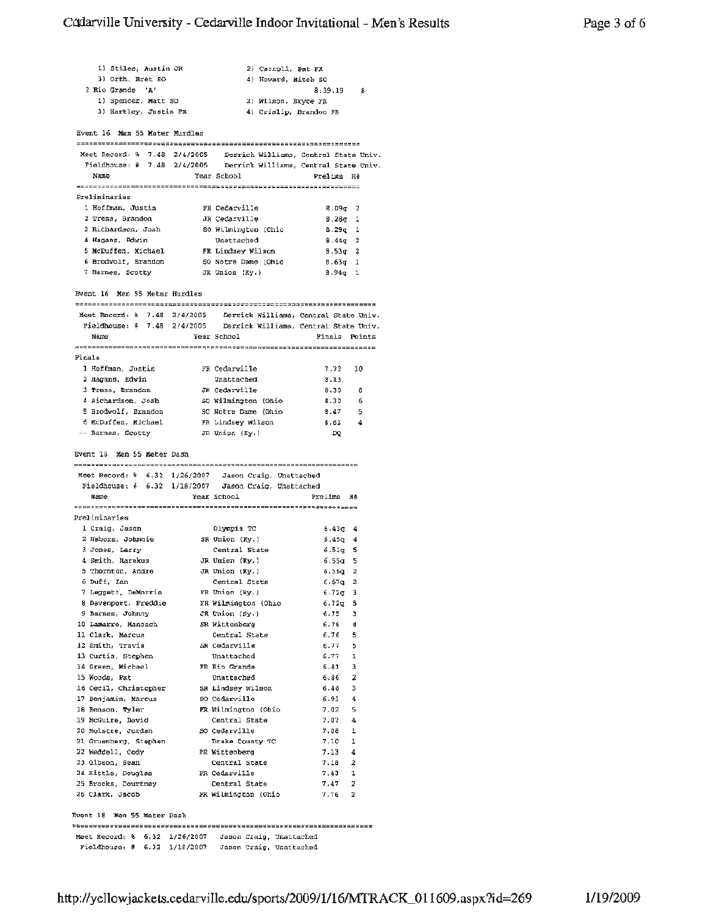| 1) Stiles, Austin JR                                               |               |                                                    | 2) Carroll, Pat FR |                                       |                       |
|--------------------------------------------------------------------|---------------|----------------------------------------------------|--------------------|---------------------------------------|-----------------------|
| 3) Orth, Bret SO                                                   |               |                                                    |                    | 4) Howard, Mitch SO                   |                       |
| 2 Rio Grande 'A'                                                   |               |                                                    |                    | $8:39.19$ 8                           |                       |
| 1) Spencer, Matt SO                                                |               |                                                    |                    | 2) Wilson, Bryce FR                   |                       |
| 3) Hartley, Justin PR                                              |               |                                                    |                    | 4) Crislip, Brandon FR                |                       |
|                                                                    |               |                                                    |                    |                                       |                       |
| Event 16 Men 55 Moter Murdles                                      |               |                                                    |                    |                                       |                       |
|                                                                    |               |                                                    |                    |                                       |                       |
| Meet Record: % 7.48 2/4/2005                                       |               |                                                    |                    | Derrick Williams, Central State Univ. |                       |
| Fieldhouse: # 7.48 2/4/2005 Derrick Williams, Central State Univ.  |               |                                                    |                    |                                       |                       |
| Name                                                               | Year School   |                                                    |                    | Prelins H#                            |                       |
| Preliminaries                                                      |               |                                                    |                    |                                       |                       |
| 1 Hoffman, Justin                                                  |               | FR Cedarville                                      |                    | 8.09g 2                               |                       |
| 2 Tress, Brandon                                                   |               | JR Cedarville                                      |                    | $8.280$ 1                             |                       |
| 3 Richardson, Josh                                                 |               | SO Wilmington (Ohio                                |                    | $8.29q$ 1                             |                       |
| 4 Hagans, Edwin                                                    |               | Unattached                                         |                    | $8.44q$ 2                             |                       |
| 5 McDuffen, Michael                                                |               | FR Lindsey Wilson                                  |                    | $8.53q$ 2                             |                       |
| 6 Brodwolf, Brandon                                                |               | 50 Notre Dame (Ohio                                |                    | $8.63q$ 1                             |                       |
| 7 Barnes, Scotty                                                   |               | JR Union (Ky.)                                     |                    | $8.94q$ 1                             |                       |
|                                                                    |               |                                                    |                    |                                       |                       |
| Byent 16 Men 55 Meter Hurdles                                      |               |                                                    |                    |                                       |                       |
|                                                                    |               |                                                    |                    |                                       |                       |
| Meet Record: 8 7.48 2/4/2005 Derrick Williams, Central State Univ. |               |                                                    |                    |                                       |                       |
| Fieldhouse: # 7.48 2/4/2005 Derrick Williams, Central State Univ.  |               |                                                    |                    |                                       |                       |
| Name                                                               | Year School   |                                                    |                    | Finals Points                         |                       |
|                                                                    |               |                                                    |                    |                                       |                       |
| Finals                                                             |               |                                                    |                    |                                       |                       |
| 1 Hoffman, Justin                                                  |               | FR Cedarville                                      |                    | 7.72                                  | 10                    |
| 2 Hagans, Edwin                                                    |               | Unattached                                         |                    | 8.13                                  |                       |
| 3 Tress, Brandon<br>4 Richardson, Josh                             |               | JR Cedarville                                      |                    | 8,30                                  | - 8                   |
| 5 Brodwolf, Brandon                                                |               | <i>S</i> O Wilmington (Ohio<br>SO Notre Dame (Ohio |                    | 8.30<br>8.47                          | - 6                   |
| 6 McDuffen, Michael                                                |               | FR Lindsey Wilson                                  |                    | 8.62                                  | - 5<br>$\overline{4}$ |
| -- Barnes, Scotty                                                  |               | JR Union (Ky.)                                     |                    | DQ                                    |                       |
|                                                                    |               |                                                    |                    |                                       |                       |
|                                                                    |               |                                                    |                    |                                       |                       |
|                                                                    |               |                                                    |                    |                                       |                       |
| Event 18 Man 55 Meter Dash                                         |               |                                                    |                    |                                       |                       |
| Meet Record: % 6.32 1/26/2007 Jason Craig, Unattached              |               |                                                    |                    |                                       |                       |
| Fieldhouse: # 6.32 1/18/2007 Jason Craig, Unattached               |               |                                                    |                    |                                       |                       |
| Name                                                               | Year School   |                                                    |                    | Prelims H#                            |                       |
|                                                                    |               |                                                    |                    |                                       |                       |
| Preliminaries                                                      |               |                                                    |                    |                                       |                       |
| 1 Craig, Jason                                                     |               | Olympia TC                                         |                    | $6.437$ 4                             |                       |
| 2 Nabors, Johnnie                                                  |               | SR Union (Ky.)                                     |                    | ճ.45գ                                 | 4                     |
| 3 Jones, Larry                                                     |               | Central State                                      |                    | 6.51q                                 | s                     |
| 4 Smith, Marekus                                                   |               | JR Union (Ky.)                                     |                    | 6.55g                                 | 5                     |
| 5 Thornton, Andre                                                  |               | JR Union $(Ky.)$                                   |                    | 6.56g                                 | 2                     |
| 6 Duff, Ian                                                        |               | Central State                                      |                    | $6.67q$ 2                             |                       |
| 7 Leggett, DeMorrio FR Union (Ky.)                                 |               |                                                    |                    | 6.72 <sub>g</sub>                     | з                     |
| 8 Davenport, Freddie                                               |               | FR Wilmington (Ohio                                |                    | $6.72q$ 5                             |                       |
| 9 Barnes, Johnny                                                   |               | JR Union (Ky.)                                     |                    | $6,75$ 3                              |                       |
| 10 Lamarre, Manoach<br>11 Clark, Marcus                            |               | SR Wittenberg<br>Central State                     |                    | $6.76 - 4$<br>$6.76$ 5                |                       |
| 12 Smith, Travis                                                   |               | SR Cedarville                                      |                    |                                       |                       |
| 13 Curtis, Stephen                                                 |               | Unattached                                         |                    |                                       |                       |
| 14 Green, Michael                                                  |               | FR Rio Grande                                      |                    | $6.77$ 5<br>6.77 1                    |                       |
| 15 Woods, Pat                                                      |               | Unattached                                         |                    | $6.81$ 3<br>6.86 2                    |                       |
|                                                                    |               |                                                    |                    | $6.85 - 3$                            |                       |
| 16 Cecil, Christopher SR Lindsey Wilson<br>17 Benjamin, Marcus     |               | SO Cedarville                                      |                    | $6.91$ 4                              |                       |
| 18 Benson, Tyler                                                   |               | FR Wilmington (Obio                                |                    | $7.02 - 5$                            |                       |
| 19 McGuire, David                                                  |               | Central State                                      |                    | 7.07                                  | 4                     |
| 20 Molstre, Jordan                                                 |               | SO Cedarville                                      |                    | 7,08                                  | 1                     |
| 21 Gruenberg, Stephen                                              |               | Drake County TC                                    |                    | 7.10                                  | 1                     |
| 22 Weddell, Cody                                                   |               | PR Wittenberg                                      |                    | $7.13 - 4$                            |                       |
| 23 Gibson, Sean                                                    |               | Central State                                      |                    | 7.18                                  | 2                     |
| 24 Kittle, Douglas                                                 | FR Cedarville |                                                    |                    | $7.43 - 1$                            |                       |
| 25 Brooks, Courtney                                                |               | Central State                                      |                    | 7.47                                  | 2                     |
| 26 Clark, Jacob                                                    |               | FR Wilmington (Ohio                                |                    | $7.76 - 2$                            |                       |
| Event 18 Men 55 Meter Dash                                         |               |                                                    |                    |                                       |                       |

Meet Record: % 6.32 1/26/2007 Jason Craig, Unattached<br>Fieldhouse: # 6.32 1/18/2007 Jason Craig, Unattached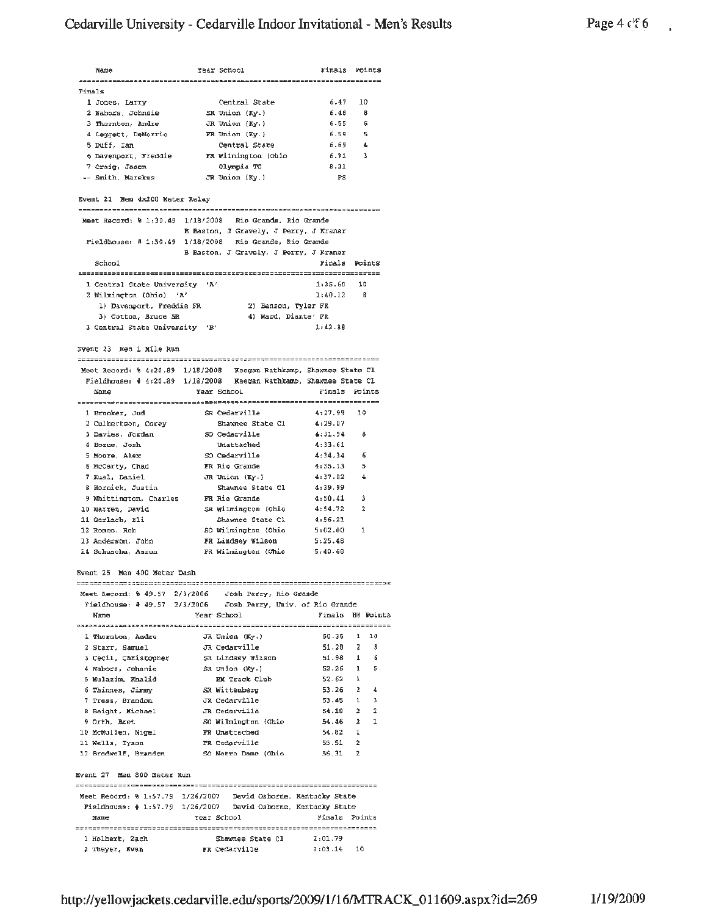## Cedarville University - Cedarville Indoor Invitational - Men's Results

Year School Finals Points Name Finals 1 Jones, Larry (Central State)<br>
2 Nabors, Johnnie<br>
3 Thornton, Andre (JR Union (Ky.)<br>
4 Leggett, DeMorrio (FR Union (Ky.)<br>
5 Duff, Ian (Central State)<br>
6 Davenport, Freddie (FR Wilmington (Ohio)<br>
7 Craig, Jason (Jympia TC)  $6.47$  10 Central State 1 Jones, Larry 6.48  $\overline{B}$  $6.55$ 6 6.59  $-5$ 6.69  $\mathbf{d}_\mathrm{c}$ 6.71  $\overline{\phantom{a}}$ FR Wilmington .<br>Olympia TC 8.21  $F<sub>S</sub>$ Event 21 Men 4x200 Meter Relay Meet Record: % 1:30.49 1/18/2008 Rio Grande, Rio Grande B Baston, J Gravely, J Perry, J Kraner Fieldhouse: # 1:30.49 1/18/2008 Rio Grande, Rio Grande B Baston, J Gravely, J Perry, J Kraner School Finals Points 1 Central State University 'A' 1:35.60 10 2 Wilmington (Ohio) 'A'  $1:40.12$   $8$ 1) Davenport, Freddie FR 2) Benson, Tyler FR<br>3) Cotton, Bruce 5R 4) Ward, Diante' FR 3 Central State University 'B'  $1:42.88$ Eyent 23 Men 1 Mile Run Meet Record: \$ 4:20.89 1/18/2008 Reegan Rathkamp, Shawnee State Cl Fieldhouse: # 4:20.89 1/18/2008 Keegan Rathkamp, Shawnee State Cl Year School Finals Points Name 1 Brooker, Jud<br>2 Cedaryille<br>2 Cedaryille - Charles Charles Charles Charles Charles 4:27.99 10 Exercise of the Shawne State Cl (199.07)<br>
2 Cubertson, Corey Shawne State Cl (199.07)<br>
3 Davies, Jordan SO Cedarville (199.07)<br>
4 Bozue, Josh Unattached (199.07)<br>
5 Moore, Alex SO Cedarville (199.07)<br>
5 Moore, Alex SO Ceda 8 - 5  $\Delta$ 4:39.99 9 Whittington, Charles FR Rio Grande  $4:50.41$  $\overline{\mathbf{3}}$ 10 Warren, David 3R Wilmington (Ohio 4:54.72<br>
11 Gerlach, Eli Shawnee State Cl 4:56.21<br>
12 Romeo, Rob 50 Wilmington (Ohio 5:02.00<br>
13 Anderson, John FR Wilmington (Ohio 5:25.48<br>
14 Schuschu, Aaron FR Wilmington (Ohio 5:40.  $\overline{2}$  $\mathbf{1}$ Event 25 Men 400 Meter Dash Year School Finals H# Points Name 2 Starr, Samuel JR Cedarville 51.28 2 8<br>3 Cecil, Christopher SR Lindsey Wilson 51.98 1 6<br>4 Nabors, Johnnie SR Union (Ky.) 52.26 1 5<br>5 Mulazim, Khalid EM Track Club 53.62 1<br>6 Thinnes, Jimmy SR Wittenberg 53.26 2 4<br>7 Tress, JR Cedarville 51.28 2 Starr, Samuel  $\overline{z}$  $^{\circ}$ 12 Brodwolf, Brandon SO Notra Dame (Ohio  $56.31$  2 Event 27 Men 300 Meter Run Meet Record: % 1:57.79 1/26/2007 David Osborne, Kentucky State Fieldhouse: # 1:57.79 1/26/2007 David Osborne, Kentucky State Name Year School Finals Points  $2:03.14$  10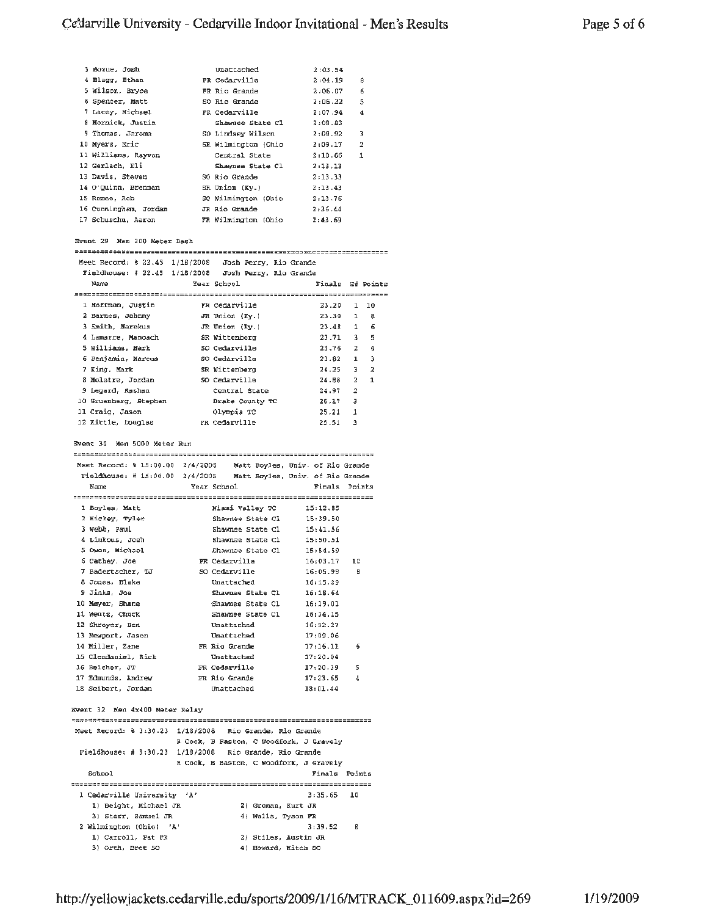| 3 Bozue, Josh         | Unattached          | 2:03.54 |   |
|-----------------------|---------------------|---------|---|
| 4 Blagg, Ethan        | FR Cedarville       | 2:04.19 | 8 |
| 5 Wilson, Bryce       | FR Rio Grande       | 2:06.07 | 6 |
| 6 Spencer, Matt       | SO Rio Grande       | 2:06.22 | 5 |
| 7 Lacey, Michael      | FR Cedarville       | 2:07.94 | 4 |
| 8 Mornick, Justin     | Shawnee State Cl    | 2:08.83 |   |
| 9 Thomas, Jerome      | SO Lindsey Wilson   | 2:08.92 | 3 |
| 10 Myers, Eric        | SR Wilmington (Ohio | 2:09.17 | 2 |
| Il Williams, Rayvon   | Central State       | 2:10.66 | 1 |
| 12 Gerlach, Eli       | Shawnee State Cl    | 2:13.13 |   |
| 13 Davis, Steven      | SO Rio Grande       | 2:13.33 |   |
| 14 O'Quinn, Brennan   | SR Union (Kv.)      | 2:13.43 |   |
| 15 Romeo, Rob         | SO Wilmington (Ohio | 2:13.76 |   |
| 16 Cunningham, Jordan | JR Rio Grande       | 2:36.44 |   |
| 17 Schuschu, Aaron    | FR Wilmington (Ohio | 2:43.69 |   |

### Event 29 Men 200 Meter Dash

Meet Record: \$ 22.45 1/18/2008 Josh Perry, Rio Grande

|                                                      | ----------------- | <u>vecu svee;; nau ciumu</u> |       |                                |
|------------------------------------------------------|-------------------|------------------------------|-------|--------------------------------|
| Fieldhouse: # 22.45 1/18/2008 Josh Perry, Rio Grande |                   |                              |       |                                |
| Name                                                 |                   | Year School                  |       | Finals H# Points               |
|                                                      |                   |                              |       |                                |
| 1 Hoffman, Justin                                    |                   | FR Cedarville                | 23.20 | $1 \quad 10$                   |
| 2 Barnes, Johnny                                     |                   | JR Union (Ky.)               | 23.30 | 1<br>8                         |
| 3 Smith, Marekus                                     |                   | JR Union (Ky.)               | 23.48 | 6<br>$\mathbf{1}$              |
| 4 Lamarre, Manoach                                   |                   | SR Wittenberg                | 23.71 | 5<br>3                         |
| 5 Williams, Mark                                     |                   | SO Cedarville                | 23.76 | $\mathbf{z}$<br>4              |
| 6 Benjamin, Marcus                                   |                   | SO Cedarville                | 23.82 | з<br>ı                         |
| 7 King, Mark                                         |                   | SR Wittenberg                | 24.25 | 3<br>2                         |
| 8 Molstre, Jordan                                    |                   | SO Cedarville                | 24.88 | $\mathbf{1}$<br>$\overline{2}$ |
| 9 Legard, Rashan                                     |                   | Central State                | 24.97 | 2                              |
| 10 Gruenberg, Stephen                                |                   | Drake County TC              | 25.17 | 3                              |
| 11 Craig. Jason                                      |                   | Olympia TC                   | 25.21 | 1                              |
| 12 Xittle, Douglas                                   |                   | FR Cedarville                | 25.51 | 3                              |

Event 30 Men 5000 Meter Run

|                     | Meet Record: 0 15:00.00 2/4/2005 Matt Boyles, Univ. of Rio Grande  |               |
|---------------------|--------------------------------------------------------------------|---------------|
|                     | Fieldhouse: # $15:00.00$ 2/4/2005 Matt Boyles, Univ. of Rio Grande |               |
| Name                | Year School                                                        | Finals Points |
|                     |                                                                    |               |
| 1 Boyles, Matt      | Miami Valley TC 15:12.85                                           |               |
| 2 Hickey, Tyler     | Shawnee State Cl 15:39.50                                          |               |
| 3 Webb, Paul        | Shawnee State Cl 15:41.56                                          |               |
| 4 Linkous, Josh     | Shawnee State C1 15:50.51                                          |               |
| 5 Owen, Michael     | Shawnee State $C1$ 15:54.59                                        |               |
| 6 Cathey, Joe       | FR Cedarville 16:03.17 10                                          |               |
| 7 Badertscher, TJ   | SO Cedarville 16:05.99 B                                           |               |
| 8 Jones, Blake      | Unattached 16:15.29                                                |               |
| 9 Jinks, Joe        | Shawnee State Cl 16:18.64                                          |               |
| 10 Mayer, Shane     | Shawnee State Cl 16:19.01                                          |               |
| 11 Wentz, Chuck     | Shawnee State $C1$ 16:34.15                                        |               |
| 12 Shroyer, Ben     | Unattached                                                         | 16:52.27      |
| 13 Newport, Jason   | Unat tached                                                        | 17:09.06      |
|                     |                                                                    | 6             |
| 15 Clendaniel, Rick | Unattached                                                         | 17:20.04      |
| 16 Belcher, JT      | FR Cedarville                                                      | 5<br>17:20.39 |
|                     | 17 Edmunds. Andrew FR Rio Grande                                   | đ<br>17:23.65 |
| 18 Seibert, Jordan  | Unattached                                                         | 18:01.44      |

### Event 32 Men 4x400 Meter Relay

| Meet Record: 8 3:30.23 1/18/2008 Rio Grande. Rio Grande   |                                         |               |    |
|-----------------------------------------------------------|-----------------------------------------|---------------|----|
|                                                           | R Cook, B Baston, C Woodfork, J Gravely |               |    |
| Fieldhouse: $\#$ 3:30.23 1/18/2008 Rio Grande, Rio Grande |                                         |               |    |
|                                                           | R Cook. B Baston. C Woodfork. J Gravely |               |    |
| School                                                    |                                         | Finals Points |    |
|                                                           |                                         |               |    |
| 1 Cedarville University 'A'                               |                                         | $3:35.65$ 10  |    |
| 1) Beight, Michael JR                                     | 2) Groman, Kurt JR                      |               |    |
| 3) Starr, Samuel JR                                       | 4) Walls, Tyson FR                      |               |    |
| 2 Wilmington (Ohio) 'A'                                   |                                         | 3:39.52       | B. |
| 1) Carroll, Pat FR                                        | 2) Stiles, Austin JR                    |               |    |
| 3) Orth, Bret SO                                          | 4) Howard, Mitch SO                     |               |    |